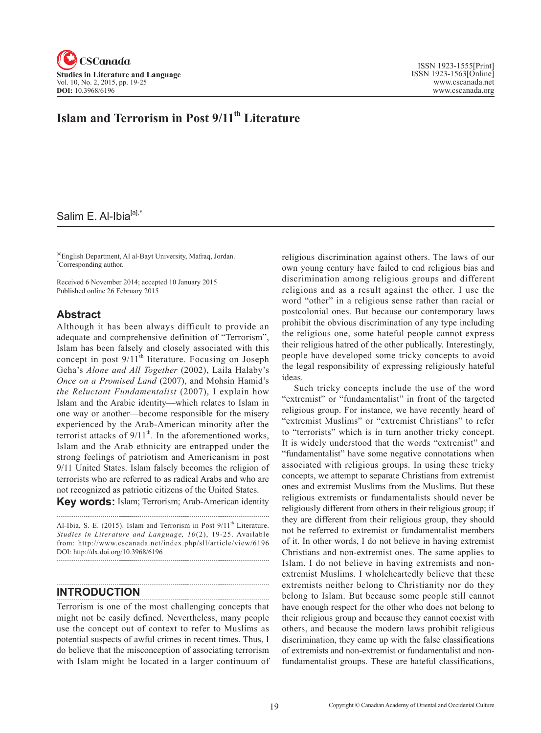

# **Islam and Terrorism in Post 9/11<sup>th</sup> Literature**

### Salim E. Al-Ibia<sup>[a],\*</sup>

[a]English Department, Al al-Bayt University, Mafraq, Jordan. \* Corresponding author.

Received 6 November 2014; accepted 10 January 2015 Published online 26 February 2015

#### **Abstract**

Although it has been always difficult to provide an adequate and comprehensive definition of "Terrorism", Islam has been falsely and closely associated with this concept in post  $9/11<sup>th</sup>$  literature. Focusing on Joseph Geha's *Alone and All Together* (2002), Laila Halaby's *Once on a Promised Land* (2007), and Mohsin Hamid's *the Reluctant Fundamentalist* (2007), I explain how Islam and the Arabic identity—which relates to Islam in one way or another—become responsible for the misery experienced by the Arab-American minority after the terrorist attacks of  $9/11<sup>th</sup>$ . In the aforementioned works, Islam and the Arab ethnicity are entrapped under the strong feelings of patriotism and Americanism in post 9/11 United States. Islam falsely becomes the religion of terrorists who are referred to as radical Arabs and who are not recognized as patriotic citizens of the United States.

**Key words:** Islam; Terrorism; Arab-American identity

Al-Ibia, S. E. (2015). Islam and Terrorism in Post 9/11<sup>th</sup> Literature. *Studies in Literature and Language, 10(2), 19-25. Available* from: http://www.cscanada.net/index.php/sll/article/view/6196 DOI: http://dx.doi.org/10.3968/6196

#### **INTRODUCTION**

Terrorism is one of the most challenging concepts that might not be easily defined. Nevertheless, many people use the concept out of context to refer to Muslims as potential suspects of awful crimes in recent times. Thus, I do believe that the misconception of associating terrorism with Islam might be located in a larger continuum of religious discrimination against others. The laws of our own young century have failed to end religious bias and discrimination among religious groups and different religions and as a result against the other. I use the word "other" in a religious sense rather than racial or postcolonial ones. But because our contemporary laws prohibit the obvious discrimination of any type including the religious one, some hateful people cannot express their religious hatred of the other publically. Interestingly, people have developed some tricky concepts to avoid the legal responsibility of expressing religiously hateful ideas.

Such tricky concepts include the use of the word "extremist" or "fundamentalist" in front of the targeted religious group. For instance, we have recently heard of "extremist Muslims" or "extremist Christians" to refer to "terrorists" which is in turn another tricky concept. It is widely understood that the words "extremist" and "fundamentalist" have some negative connotations when associated with religious groups. In using these tricky concepts, we attempt to separate Christians from extremist ones and extremist Muslims from the Muslims. But these religious extremists or fundamentalists should never be religiously different from others in their religious group; if they are different from their religious group, they should not be referred to extremist or fundamentalist members of it. In other words, I do not believe in having extremist Christians and non-extremist ones. The same applies to Islam. I do not believe in having extremists and nonextremist Muslims. I wholeheartedly believe that these extremists neither belong to Christianity nor do they belong to Islam. But because some people still cannot have enough respect for the other who does not belong to their religious group and because they cannot coexist with others, and because the modern laws prohibit religious discrimination, they came up with the false classifications of extremists and non-extremist or fundamentalist and nonfundamentalist groups. These are hateful classifications,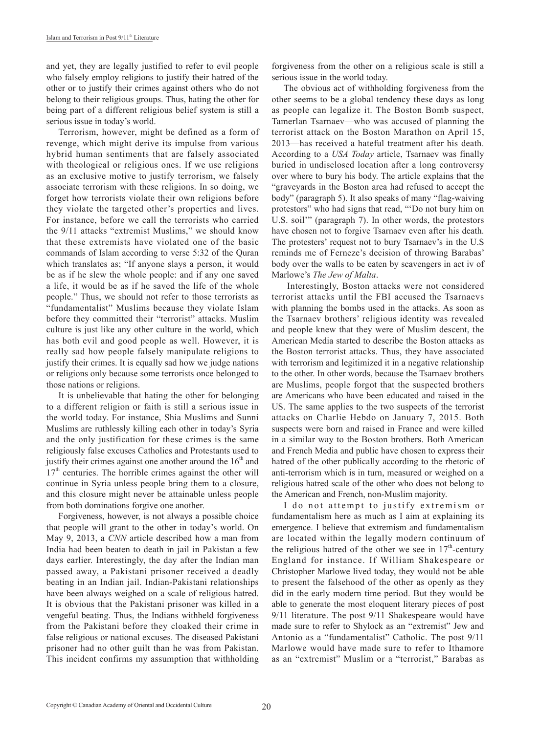and yet, they are legally justified to refer to evil people who falsely employ religions to justify their hatred of the other or to justify their crimes against others who do not belong to their religious groups. Thus, hating the other for being part of a different religious belief system is still a serious issue in today's world.

Terrorism, however, might be defined as a form of revenge, which might derive its impulse from various hybrid human sentiments that are falsely associated with theological or religious ones. If we use religions as an exclusive motive to justify terrorism, we falsely associate terrorism with these religions. In so doing, we forget how terrorists violate their own religions before they violate the targeted other's properties and lives. For instance, before we call the terrorists who carried the 9/11 attacks "extremist Muslims," we should know that these extremists have violated one of the basic commands of Islam according to verse 5:32 of the Quran which translates as; "If anyone slays a person, it would be as if he slew the whole people: and if any one saved a life, it would be as if he saved the life of the whole people." Thus, we should not refer to those terrorists as "fundamentalist" Muslims because they violate Islam before they committed their "terrorist" attacks. Muslim culture is just like any other culture in the world, which has both evil and good people as well. However, it is really sad how people falsely manipulate religions to justify their crimes. It is equally sad how we judge nations or religions only because some terrorists once belonged to those nations or religions.

It is unbelievable that hating the other for belonging to a different religion or faith is still a serious issue in the world today. For instance, Shia Muslims and Sunni Muslims are ruthlessly killing each other in today's Syria and the only justification for these crimes is the same religiously false excuses Catholics and Protestants used to justify their crimes against one another around the  $16<sup>th</sup>$  and  $17<sup>th</sup>$  centuries. The horrible crimes against the other will continue in Syria unless people bring them to a closure, and this closure might never be attainable unless people from both dominations forgive one another.

Forgiveness, however, is not always a possible choice that people will grant to the other in today's world. On May 9, 2013, a *CNN* article described how a man from India had been beaten to death in jail in Pakistan a few days earlier. Interestingly, the day after the Indian man passed away, a Pakistani prisoner received a deadly beating in an Indian jail. Indian-Pakistani relationships have been always weighed on a scale of religious hatred. It is obvious that the Pakistani prisoner was killed in a vengeful beating. Thus, the Indians withheld forgiveness from the Pakistani before they cloaked their crime in false religious or national excuses. The diseased Pakistani prisoner had no other guilt than he was from Pakistan. This incident confirms my assumption that withholding

forgiveness from the other on a religious scale is still a serious issue in the world today.

The obvious act of withholding forgiveness from the other seems to be a global tendency these days as long as people can legalize it. The Boston Bomb suspect, Tamerlan Tsarnaev—who was accused of planning the terrorist attack on the Boston Marathon on April 15, 2013—has received a hateful treatment after his death. According to a *USA Today* article, Tsarnaev was finally buried in undisclosed location after a long controversy over where to bury his body. The article explains that the "graveyards in the Boston area had refused to accept the body" (paragraph 5). It also speaks of many "flag-waiving protestors" who had signs that read, "'Do not bury him on U.S. soil'" (paragraph 7). In other words, the protestors have chosen not to forgive Tsarnaev even after his death. The protesters' request not to bury Tsarnaev's in the U.S reminds me of Ferneze's decision of throwing Barabas' body over the walls to be eaten by scavengers in act iv of Marlowe's *The Jew of Malta*.

 Interestingly, Boston attacks were not considered terrorist attacks until the FBI accused the Tsarnaevs with planning the bombs used in the attacks. As soon as the Tsarnaev brothers' religious identity was revealed and people knew that they were of Muslim descent, the American Media started to describe the Boston attacks as the Boston terrorist attacks. Thus, they have associated with terrorism and legitimized it in a negative relationship to the other. In other words, because the Tsarnaev brothers are Muslims, people forgot that the suspected brothers are Americans who have been educated and raised in the US. The same applies to the two suspects of the terrorist attacks on Charlie Hebdo on January 7, 2015. Both suspects were born and raised in France and were killed in a similar way to the Boston brothers. Both American and French Media and public have chosen to express their hatred of the other publically according to the rhetoric of anti-terrorism which is in turn, measured or weighed on a religious hatred scale of the other who does not belong to the American and French, non-Muslim majority.

I do not attempt to justify extremism or fundamentalism here as much as I aim at explaining its emergence. I believe that extremism and fundamentalism are located within the legally modern continuum of the religious hatred of the other we see in  $17<sup>th</sup>$ -century England for instance. If William Shakespeare or Christopher Marlowe lived today, they would not be able to present the falsehood of the other as openly as they did in the early modern time period. But they would be able to generate the most eloquent literary pieces of post 9/11 literature. The post 9/11 Shakespeare would have made sure to refer to Shylock as an "extremist" Jew and Antonio as a "fundamentalist" Catholic. The post 9/11 Marlowe would have made sure to refer to Ithamore as an "extremist" Muslim or a "terrorist," Barabas as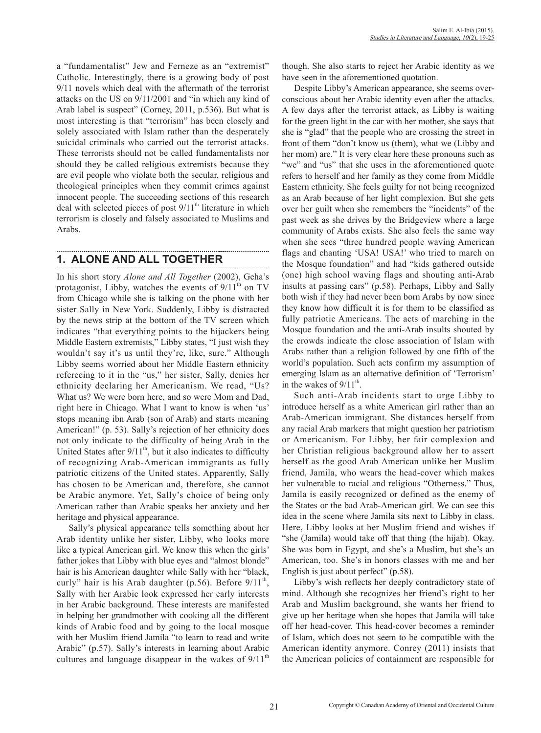a "fundamentalist" Jew and Ferneze as an "extremist" Catholic. Interestingly, there is a growing body of post 9/11 novels which deal with the aftermath of the terrorist attacks on the US on 9/11/2001 and "in which any kind of Arab label is suspect" (Corney, 2011, p.536). But what is most interesting is that "terrorism" has been closely and solely associated with Islam rather than the desperately suicidal criminals who carried out the terrorist attacks. These terrorists should not be called fundamentalists nor should they be called religious extremists because they are evil people who violate both the secular, religious and theological principles when they commit crimes against innocent people. The succeeding sections of this research deal with selected pieces of post  $9/11<sup>th</sup>$  literature in which terrorism is closely and falsely associated to Muslims and Arabs.

### **1. ALONE AND ALL TOGETHER**

In his short story *Alone and All Together* (2002), Geha's protagonist, Libby, watches the events of  $9/11<sup>th</sup>$  on TV from Chicago while she is talking on the phone with her sister Sally in New York. Suddenly, Libby is distracted by the news strip at the bottom of the TV screen which indicates "that everything points to the hijackers being Middle Eastern extremists," Libby states, "I just wish they wouldn't say it's us until they're, like, sure." Although Libby seems worried about her Middle Eastern ethnicity refereeing to it in the "us," her sister, Sally, denies her ethnicity declaring her Americanism. We read, "Us? What us? We were born here, and so were Mom and Dad, right here in Chicago. What I want to know is when 'us' stops meaning ibn Arab (son of Arab) and starts meaning American!" (p. 53). Sally's rejection of her ethnicity does not only indicate to the difficulty of being Arab in the United States after  $9/11<sup>th</sup>$ , but it also indicates to difficulty of recognizing Arab-American immigrants as fully patriotic citizens of the United states. Apparently, Sally has chosen to be American and, therefore, she cannot be Arabic anymore. Yet, Sally's choice of being only American rather than Arabic speaks her anxiety and her heritage and physical appearance.

Sally's physical appearance tells something about her Arab identity unlike her sister, Libby, who looks more like a typical American girl. We know this when the girls' father jokes that Libby with blue eyes and "almost blonde" hair is his American daughter while Sally with her "black, curly" hair is his Arab daughter  $(p.56)$ . Before  $9/11<sup>th</sup>$ , Sally with her Arabic look expressed her early interests in her Arabic background. These interests are manifested in helping her grandmother with cooking all the different kinds of Arabic food and by going to the local mosque with her Muslim friend Jamila "to learn to read and write Arabic" (p.57). Sally's interests in learning about Arabic cultures and language disappear in the wakes of  $9/11<sup>th</sup>$ 

though. She also starts to reject her Arabic identity as we have seen in the aforementioned quotation.

Despite Libby's American appearance, she seems overconscious about her Arabic identity even after the attacks. A few days after the terrorist attack, as Libby is waiting for the green light in the car with her mother, she says that she is "glad" that the people who are crossing the street in front of them "don't know us (them), what we (Libby and her mom) are." It is very clear here these pronouns such as "we" and "us" that she uses in the aforementioned quote refers to herself and her family as they come from Middle Eastern ethnicity. She feels guilty for not being recognized as an Arab because of her light complexion. But she gets over her guilt when she remembers the "incidents" of the past week as she drives by the Bridgeview where a large community of Arabs exists. She also feels the same way when she sees "three hundred people waving American flags and chanting 'USA! USA!' who tried to march on the Mosque foundation" and had "kids gathered outside (one) high school waving flags and shouting anti-Arab insults at passing cars" (p.58). Perhaps, Libby and Sally both wish if they had never been born Arabs by now since they know how difficult it is for them to be classified as fully patriotic Americans. The acts of marching in the Mosque foundation and the anti-Arab insults shouted by the crowds indicate the close association of Islam with Arabs rather than a religion followed by one fifth of the world's population. Such acts confirm my assumption of emerging Islam as an alternative definition of 'Terrorism' in the wakes of  $9/11<sup>th</sup>$ .

Such anti-Arab incidents start to urge Libby to introduce herself as a white American girl rather than an Arab-American immigrant. She distances herself from any racial Arab markers that might question her patriotism or Americanism. For Libby, her fair complexion and her Christian religious background allow her to assert herself as the good Arab American unlike her Muslim friend, Jamila, who wears the head-cover which makes her vulnerable to racial and religious "Otherness." Thus, Jamila is easily recognized or defined as the enemy of the States or the bad Arab-American girl. We can see this idea in the scene where Jamila sits next to Libby in class. Here, Libby looks at her Muslim friend and wishes if "she (Jamila) would take off that thing (the hijab). Okay. She was born in Egypt, and she's a Muslim, but she's an American, too. She's in honors classes with me and her English is just about perfect" (p.58).

Libby's wish reflects her deeply contradictory state of mind. Although she recognizes her friend's right to her Arab and Muslim background, she wants her friend to give up her heritage when she hopes that Jamila will take off her head-cover. This head-cover becomes a reminder of Islam, which does not seem to be compatible with the American identity anymore. Conrey (2011) insists that the American policies of containment are responsible for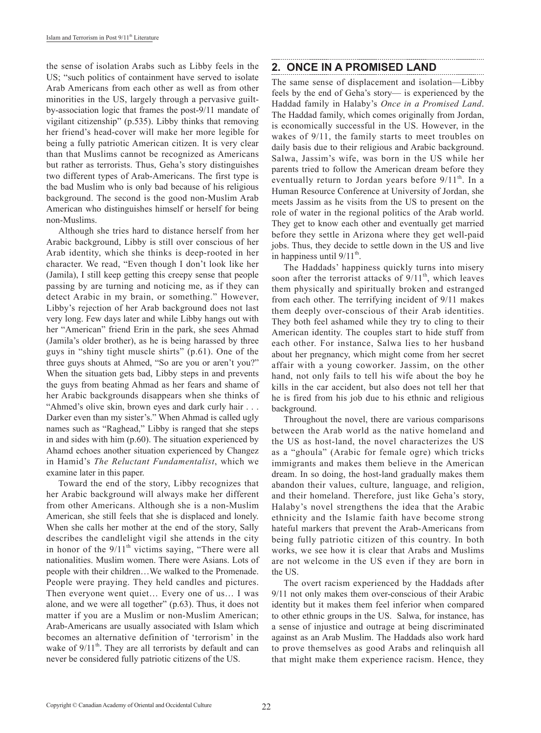the sense of isolation Arabs such as Libby feels in the US; "such politics of containment have served to isolate Arab Americans from each other as well as from other minorities in the US, largely through a pervasive guiltby-association logic that frames the post-9/11 mandate of vigilant citizenship" (p.535). Libby thinks that removing her friend's head-cover will make her more legible for being a fully patriotic American citizen. It is very clear than that Muslims cannot be recognized as Americans but rather as terrorists. Thus, Geha's story distinguishes two different types of Arab-Americans. The first type is the bad Muslim who is only bad because of his religious background. The second is the good non-Muslim Arab American who distinguishes himself or herself for being non-Muslims.

Although she tries hard to distance herself from her Arabic background, Libby is still over conscious of her Arab identity, which she thinks is deep-rooted in her character. We read, "Even though I don't look like her (Jamila), I still keep getting this creepy sense that people passing by are turning and noticing me, as if they can detect Arabic in my brain, or something." However, Libby's rejection of her Arab background does not last very long. Few days later and while Libby hangs out with her "American" friend Erin in the park, she sees Ahmad (Jamila's older brother), as he is being harassed by three guys in "shiny tight muscle shirts" (p.61). One of the three guys shouts at Ahmed, "So are you or aren't you?" When the situation gets bad, Libby steps in and prevents the guys from beating Ahmad as her fears and shame of her Arabic backgrounds disappears when she thinks of "Ahmed's olive skin, brown eyes and dark curly hair . . . Darker even than my sister's." When Ahmad is called ugly names such as "Raghead," Libby is ranged that she steps in and sides with him (p.60). The situation experienced by Ahamd echoes another situation experienced by Changez in Hamid's *The Reluctant Fundamentalist*, which we examine later in this paper.

Toward the end of the story, Libby recognizes that her Arabic background will always make her different from other Americans. Although she is a non-Muslim American, she still feels that she is displaced and lonely. When she calls her mother at the end of the story, Sally describes the candlelight vigil she attends in the city in honor of the  $9/11<sup>th</sup>$  victims saying, "There were all nationalities. Muslim women. There were Asians. Lots of people with their children…We walked to the Promenade. People were praying. They held candles and pictures. Then everyone went quiet… Every one of us… I was alone, and we were all together" (p.63). Thus, it does not matter if you are a Muslim or non-Muslim American; Arab-Americans are usually associated with Islam which becomes an alternative definition of 'terrorism' in the wake of  $9/11^{th}$ . They are all terrorists by default and can never be considered fully patriotic citizens of the US.

#### **2. ONCE IN A PROMISED LAND**

The same sense of displacement and isolation—Libby feels by the end of Geha's story— is experienced by the Haddad family in Halaby's *Once in a Promised Land*. The Haddad family, which comes originally from Jordan, is economically successful in the US. However, in the wakes of 9/11, the family starts to meet troubles on daily basis due to their religious and Arabic background. Salwa, Jassim's wife, was born in the US while her parents tried to follow the American dream before they eventually return to Jordan years before  $9/11<sup>th</sup>$ . In a Human Resource Conference at University of Jordan, she meets Jassim as he visits from the US to present on the role of water in the regional politics of the Arab world. They get to know each other and eventually get married before they settle in Arizona where they get well-paid jobs. Thus, they decide to settle down in the US and live in happiness until  $9/11^{th}$ .

The Haddads' happiness quickly turns into misery soon after the terrorist attacks of  $9/11^{th}$ , which leaves them physically and spiritually broken and estranged from each other. The terrifying incident of 9/11 makes them deeply over-conscious of their Arab identities. They both feel ashamed while they try to cling to their American identity. The couples start to hide stuff from each other. For instance, Salwa lies to her husband about her pregnancy, which might come from her secret affair with a young coworker. Jassim, on the other hand, not only fails to tell his wife about the boy he kills in the car accident, but also does not tell her that he is fired from his job due to his ethnic and religious background.

Throughout the novel, there are various comparisons between the Arab world as the native homeland and the US as host-land, the novel characterizes the US as a "ghoula" (Arabic for female ogre) which tricks immigrants and makes them believe in the American dream. In so doing, the host-land gradually makes them abandon their values, culture, language, and religion, and their homeland. Therefore, just like Geha's story, Halaby's novel strengthens the idea that the Arabic ethnicity and the Islamic faith have become strong hateful markers that prevent the Arab-Americans from being fully patriotic citizen of this country. In both works, we see how it is clear that Arabs and Muslims are not welcome in the US even if they are born in the US.

The overt racism experienced by the Haddads after 9/11 not only makes them over-conscious of their Arabic identity but it makes them feel inferior when compared to other ethnic groups in the US. Salwa, for instance, has a sense of injustice and outrage at being discriminated against as an Arab Muslim. The Haddads also work hard to prove themselves as good Arabs and relinquish all that might make them experience racism. Hence, they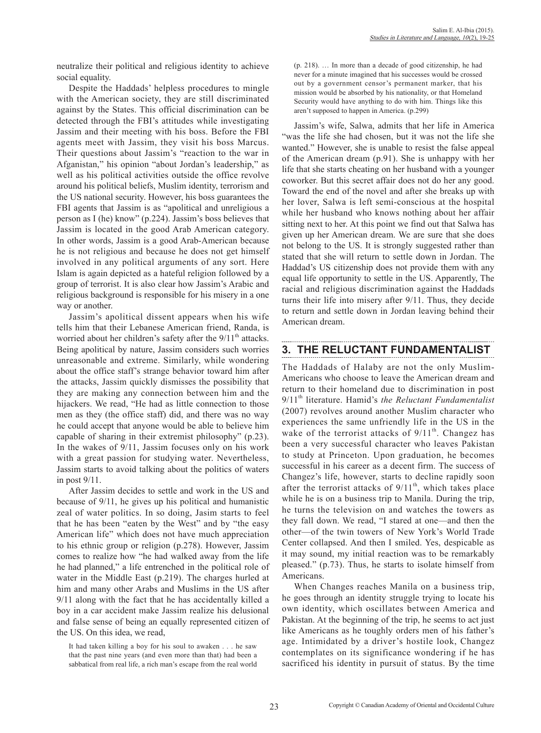neutralize their political and religious identity to achieve social equality.

Despite the Haddads' helpless procedures to mingle with the American society, they are still discriminated against by the States. This official discrimination can be detected through the FBI's attitudes while investigating Jassim and their meeting with his boss. Before the FBI agents meet with Jassim, they visit his boss Marcus. Their questions about Jassim's "reaction to the war in Afganistan," his opinion "about Jordan's leadership," as well as his political activities outside the office revolve around his political beliefs, Muslim identity, terrorism and the US national security. However, his boss guarantees the FBI agents that Jassim is as "apolitical and unreligious a person as I (he) know" (p.224). Jassim's boss believes that Jassim is located in the good Arab American category. In other words, Jassim is a good Arab-American because he is not religious and because he does not get himself involved in any political arguments of any sort. Here Islam is again depicted as a hateful religion followed by a group of terrorist. It is also clear how Jassim's Arabic and religious background is responsible for his misery in a one way or another.

Jassim's apolitical dissent appears when his wife tells him that their Lebanese American friend, Randa, is worried about her children's safety after the  $9/11<sup>th</sup>$  attacks. Being apolitical by nature, Jassim considers such worries unreasonable and extreme. Similarly, while wondering about the office staff's strange behavior toward him after the attacks, Jassim quickly dismisses the possibility that they are making any connection between him and the hijackers. We read, "He had as little connection to those men as they (the office staff) did, and there was no way he could accept that anyone would be able to believe him capable of sharing in their extremist philosophy" (p.23). In the wakes of 9/11, Jassim focuses only on his work with a great passion for studying water. Nevertheless, Jassim starts to avoid talking about the politics of waters in post 9/11.

After Jassim decides to settle and work in the US and because of 9/11, he gives up his political and humanistic zeal of water politics. In so doing, Jasim starts to feel that he has been "eaten by the West" and by "the easy American life" which does not have much appreciation to his ethnic group or religion (p.278). However, Jassim comes to realize how "he had walked away from the life he had planned," a life entrenched in the political role of water in the Middle East (p.219). The charges hurled at him and many other Arabs and Muslims in the US after 9/11 along with the fact that he has accidentally killed a boy in a car accident make Jassim realize his delusional and false sense of being an equally represented citizen of the US. On this idea, we read,

It had taken killing a boy for his soul to awaken . . . he saw that the past nine years (and even more than that) had been a sabbatical from real life, a rich man's escape from the real world (p. 218). … In more than a decade of good citizenship, he had never for a minute imagined that his successes would be crossed out by a government censor's permanent marker, that his mission would be absorbed by his nationality, or that Homeland Security would have anything to do with him. Things like this aren't supposed to happen in America. (p.299)

Jassim's wife, Salwa, admits that her life in America "was the life she had chosen, but it was not the life she wanted." However, she is unable to resist the false appeal of the American dream (p.91). She is unhappy with her life that she starts cheating on her husband with a younger coworker. But this secret affair does not do her any good. Toward the end of the novel and after she breaks up with her lover, Salwa is left semi-conscious at the hospital while her husband who knows nothing about her affair sitting next to her. At this point we find out that Salwa has given up her American dream. We are sure that she does not belong to the US. It is strongly suggested rather than stated that she will return to settle down in Jordan. The Haddad's US citizenship does not provide them with any equal life opportunity to settle in the US. Apparently, The racial and religious discrimination against the Haddads turns their life into misery after 9/11. Thus, they decide to return and settle down in Jordan leaving behind their American dream.

### **3. THE RELUCTANT FUNDAMENTALIST**

The Haddads of Halaby are not the only Muslim-Americans who choose to leave the American dream and return to their homeland due to discrimination in post 9/11<sup>th</sup> literature. Hamid's *the Reluctant Fundamentalist* (2007) revolves around another Muslim character who experiences the same unfriendly life in the US in the wake of the terrorist attacks of  $9/11^{th}$ . Changez has been a very successful character who leaves Pakistan to study at Princeton. Upon graduation, he becomes successful in his career as a decent firm. The success of Changez's life, however, starts to decline rapidly soon after the terrorist attacks of  $9/11<sup>th</sup>$ , which takes place while he is on a business trip to Manila. During the trip, he turns the television on and watches the towers as they fall down. We read, "I stared at one—and then the other—of the twin towers of New York's World Trade Center collapsed. And then I smiled. Yes, despicable as it may sound, my initial reaction was to be remarkably pleased." (p.73). Thus, he starts to isolate himself from Americans.

When Changes reaches Manila on a business trip, he goes through an identity struggle trying to locate his own identity, which oscillates between America and Pakistan. At the beginning of the trip, he seems to act just like Americans as he toughly orders men of his father's age. Intimidated by a driver's hostile look, Changez contemplates on its significance wondering if he has sacrificed his identity in pursuit of status. By the time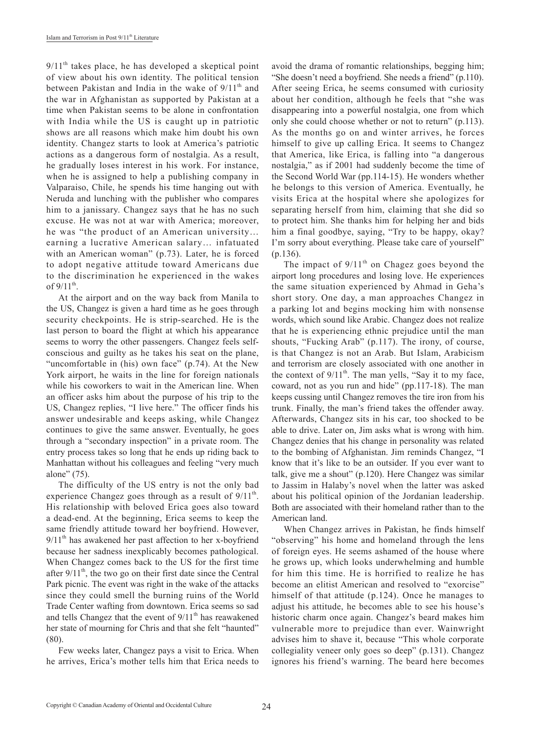$9/11<sup>th</sup>$  takes place, he has developed a skeptical point of view about his own identity. The political tension between Pakistan and India in the wake of  $9/11<sup>th</sup>$  and the war in Afghanistan as supported by Pakistan at a time when Pakistan seems to be alone in confrontation with India while the US is caught up in patriotic shows are all reasons which make him doubt his own identity. Changez starts to look at America's patriotic actions as a dangerous form of nostalgia. As a result, he gradually loses interest in his work. For instance, when he is assigned to help a publishing company in Valparaiso, Chile, he spends his time hanging out with Neruda and lunching with the publisher who compares him to a janissary. Changez says that he has no such excuse. He was not at war with America; moreover, he was "the product of an American university… earning a lucrative American salary… infatuated with an American woman" (p.73). Later, he is forced to adopt negative attitude toward Americans due to the discrimination he experienced in the wakes of  $9/11^{th}$ .

At the airport and on the way back from Manila to the US, Changez is given a hard time as he goes through security checkpoints. He is strip-searched. He is the last person to board the flight at which his appearance seems to worry the other passengers. Changez feels selfconscious and guilty as he takes his seat on the plane, "uncomfortable in (his) own face" (p.74). At the New York airport, he waits in the line for foreign nationals while his coworkers to wait in the American line. When an officer asks him about the purpose of his trip to the US, Changez replies, "I live here." The officer finds his answer undesirable and keeps asking, while Changez continues to give the same answer. Eventually, he goes through a "secondary inspection" in a private room. The entry process takes so long that he ends up riding back to Manhattan without his colleagues and feeling "very much alone" (75).

The difficulty of the US entry is not the only bad experience Changez goes through as a result of  $9/11<sup>th</sup>$ . His relationship with beloved Erica goes also toward a dead-end. At the beginning, Erica seems to keep the same friendly attitude toward her boyfriend. However,  $9/11<sup>th</sup>$  has awakened her past affection to her x-boyfriend because her sadness inexplicably becomes pathological. When Changez comes back to the US for the first time after  $9/11<sup>th</sup>$ , the two go on their first date since the Central Park picnic. The event was right in the wake of the attacks since they could smell the burning ruins of the World Trade Center wafting from downtown. Erica seems so sad and tells Changez that the event of  $9/11<sup>th</sup>$  has reawakened her state of mourning for Chris and that she felt "haunted" (80).

Few weeks later, Changez pays a visit to Erica. When he arrives, Erica's mother tells him that Erica needs to avoid the drama of romantic relationships, begging him; "She doesn't need a boyfriend. She needs a friend" (p.110). After seeing Erica, he seems consumed with curiosity about her condition, although he feels that "she was disappearing into a powerful nostalgia, one from which only she could choose whether or not to return" (p.113). As the months go on and winter arrives, he forces himself to give up calling Erica. It seems to Changez that America, like Erica, is falling into "a dangerous nostalgia," as if 2001 had suddenly become the time of the Second World War (pp.114-15). He wonders whether he belongs to this version of America. Eventually, he visits Erica at the hospital where she apologizes for separating herself from him, claiming that she did so to protect him. She thanks him for helping her and bids him a final goodbye, saying, "Try to be happy, okay? I'm sorry about everything. Please take care of yourself" (p.136).

The impact of  $9/11<sup>th</sup>$  on Chagez goes beyond the airport long procedures and losing love. He experiences the same situation experienced by Ahmad in Geha's short story. One day, a man approaches Changez in a parking lot and begins mocking him with nonsense words, which sound like Arabic. Changez does not realize that he is experiencing ethnic prejudice until the man shouts, "Fucking Arab" (p.117). The irony, of course, is that Changez is not an Arab. But Islam, Arabicism and terrorism are closely associated with one another in the context of  $9/11<sup>th</sup>$ . The man yells, "Say it to my face, coward, not as you run and hide" (pp.117-18). The man keeps cussing until Changez removes the tire iron from his trunk. Finally, the man's friend takes the offender away. Afterwards, Changez sits in his car, too shocked to be able to drive. Later on, Jim asks what is wrong with him. Changez denies that his change in personality was related to the bombing of Afghanistan. Jim reminds Changez, "I know that it's like to be an outsider. If you ever want to talk, give me a shout" (p.120). Here Changez was similar to Jassim in Halaby's novel when the latter was asked about his political opinion of the Jordanian leadership. Both are associated with their homeland rather than to the American land.

When Changez arrives in Pakistan, he finds himself "observing" his home and homeland through the lens of foreign eyes. He seems ashamed of the house where he grows up, which looks underwhelming and humble for him this time. He is horrified to realize he has become an elitist American and resolved to "exorcise" himself of that attitude (p.124). Once he manages to adjust his attitude, he becomes able to see his house's historic charm once again. Changez's beard makes him vulnerable more to prejudice than ever. Wainwright advises him to shave it, because "This whole corporate collegiality veneer only goes so deep" (p.131). Changez ignores his friend's warning. The beard here becomes